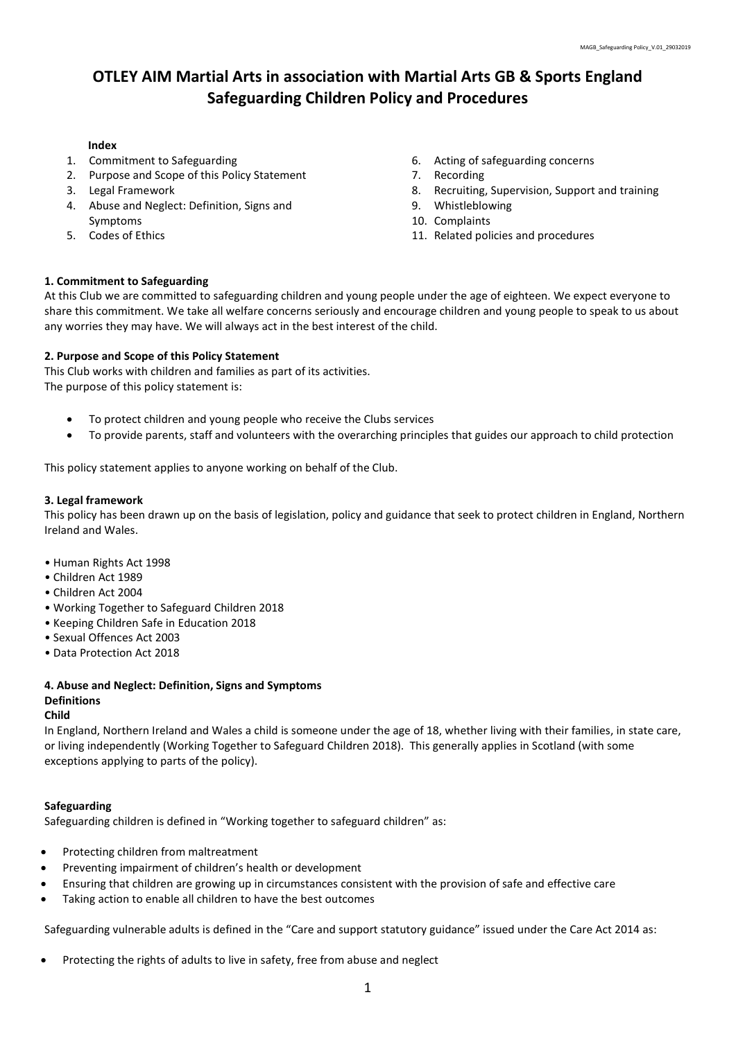# OTLEY AIM Martial Arts in association with Martial Arts GB & Sports England Safeguarding Children Policy and Procedures

### Index

- 1. Commitment to Safeguarding
- 2. Purpose and Scope of this Policy Statement
- 3. Legal Framework
- 4. Abuse and Neglect: Definition, Signs and Symptoms
- 5. Codes of Ethics
- 6. Acting of safeguarding concerns
- 7. Recording
- 8. Recruiting, Supervision, Support and training
- 9. Whistleblowing
- 10. Complaints
- 11. Related policies and procedures

### 1. Commitment to Safeguarding

At this Club we are committed to safeguarding children and young people under the age of eighteen. We expect everyone to share this commitment. We take all welfare concerns seriously and encourage children and young people to speak to us about any worries they may have. We will always act in the best interest of the child.

# 2. Purpose and Scope of this Policy Statement

This Club works with children and families as part of its activities. The purpose of this policy statement is:

- To protect children and young people who receive the Clubs services
- To provide parents, staff and volunteers with the overarching principles that guides our approach to child protection

This policy statement applies to anyone working on behalf of the Club.

### 3. Legal framework

This policy has been drawn up on the basis of legislation, policy and guidance that seek to protect children in England, Northern Ireland and Wales.

- Human Rights Act 1998
- Children Act 1989
- Children Act 2004
- Working Together to Safeguard Children 2018
- Keeping Children Safe in Education 2018
- Sexual Offences Act 2003
- Data Protection Act 2018

# 4. Abuse and Neglect: Definition, Signs and Symptoms Definitions

#### Child

In England, Northern Ireland and Wales a child is someone under the age of 18, whether living with their families, in state care, or living independently (Working Together to Safeguard Children 2018). This generally applies in Scotland (with some exceptions applying to parts of the policy).

#### Safeguarding

Safeguarding children is defined in "Working together to safeguard children" as:

- Protecting children from maltreatment
- Preventing impairment of children's health or development
- Ensuring that children are growing up in circumstances consistent with the provision of safe and effective care
- Taking action to enable all children to have the best outcomes

Safeguarding vulnerable adults is defined in the "Care and support statutory guidance" issued under the Care Act 2014 as:

Protecting the rights of adults to live in safety, free from abuse and neglect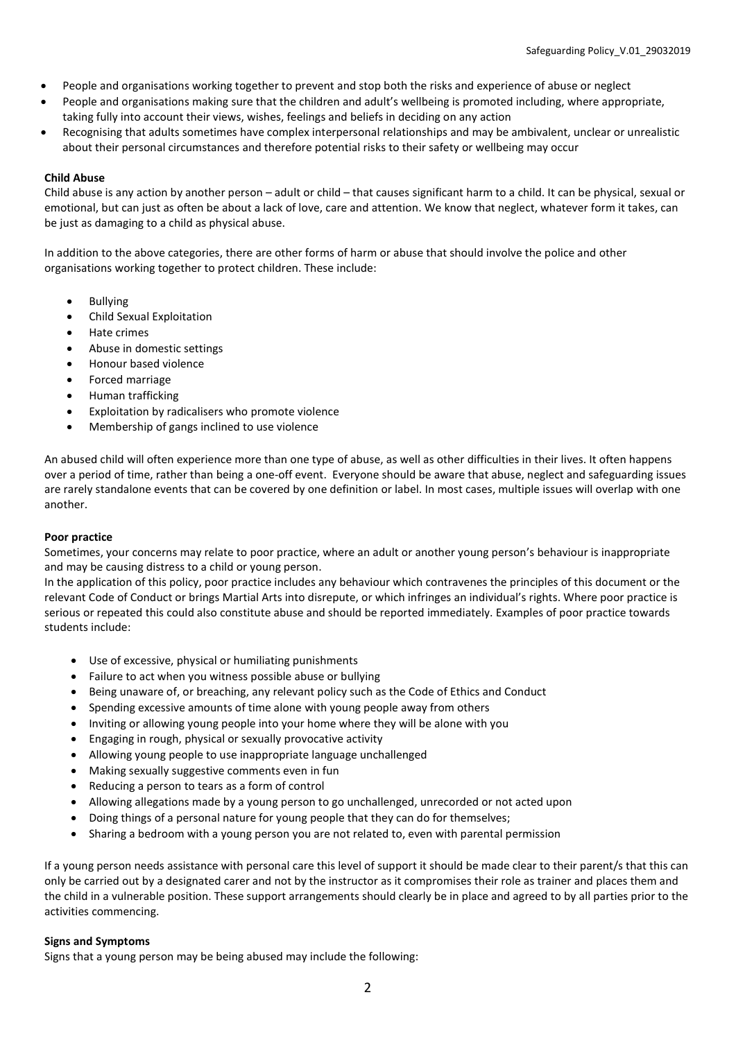- People and organisations working together to prevent and stop both the risks and experience of abuse or neglect
- People and organisations making sure that the children and adult's wellbeing is promoted including, where appropriate, taking fully into account their views, wishes, feelings and beliefs in deciding on any action
- Recognising that adults sometimes have complex interpersonal relationships and may be ambivalent, unclear or unrealistic about their personal circumstances and therefore potential risks to their safety or wellbeing may occur

# Child Abuse

Child abuse is any action by another person – adult or child – that causes significant harm to a child. It can be physical, sexual or emotional, but can just as often be about a lack of love, care and attention. We know that neglect, whatever form it takes, can be just as damaging to a child as physical abuse.

In addition to the above categories, there are other forms of harm or abuse that should involve the police and other organisations working together to protect children. These include:

- Bullying
- Child Sexual Exploitation
- Hate crimes
- Abuse in domestic settings
- Honour based violence
- Forced marriage
- Human trafficking
- Exploitation by radicalisers who promote violence
- Membership of gangs inclined to use violence

An abused child will often experience more than one type of abuse, as well as other difficulties in their lives. It often happens over a period of time, rather than being a one-off event. Everyone should be aware that abuse, neglect and safeguarding issues are rarely standalone events that can be covered by one definition or label. In most cases, multiple issues will overlap with one another.

# Poor practice

Sometimes, your concerns may relate to poor practice, where an adult or another young person's behaviour is inappropriate and may be causing distress to a child or young person.

In the application of this policy, poor practice includes any behaviour which contravenes the principles of this document or the relevant Code of Conduct or brings Martial Arts into disrepute, or which infringes an individual's rights. Where poor practice is serious or repeated this could also constitute abuse and should be reported immediately. Examples of poor practice towards students include:

- Use of excessive, physical or humiliating punishments
- Failure to act when you witness possible abuse or bullying
- Being unaware of, or breaching, any relevant policy such as the Code of Ethics and Conduct
- Spending excessive amounts of time alone with young people away from others
- Inviting or allowing young people into your home where they will be alone with you
- Engaging in rough, physical or sexually provocative activity
- Allowing young people to use inappropriate language unchallenged
- Making sexually suggestive comments even in fun
- Reducing a person to tears as a form of control
- Allowing allegations made by a young person to go unchallenged, unrecorded or not acted upon
- Doing things of a personal nature for young people that they can do for themselves;
- Sharing a bedroom with a young person you are not related to, even with parental permission

If a young person needs assistance with personal care this level of support it should be made clear to their parent/s that this can only be carried out by a designated carer and not by the instructor as it compromises their role as trainer and places them and the child in a vulnerable position. These support arrangements should clearly be in place and agreed to by all parties prior to the activities commencing.

# Signs and Symptoms

Signs that a young person may be being abused may include the following: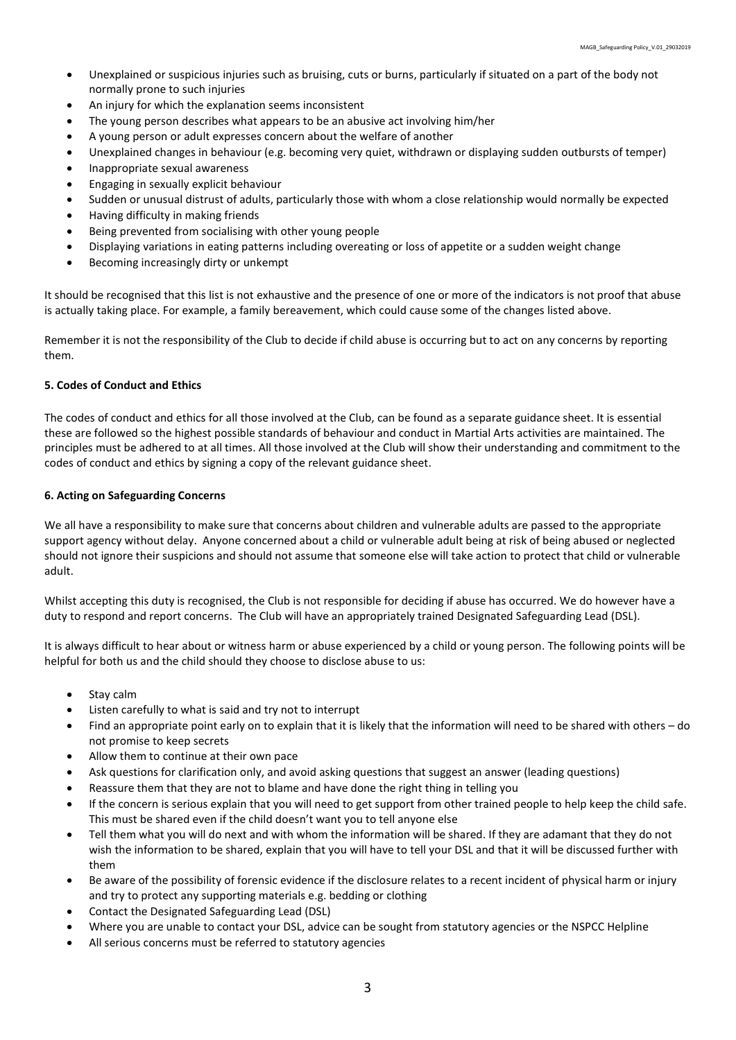- Unexplained or suspicious injuries such as bruising, cuts or burns, particularly if situated on a part of the body not normally prone to such injuries
- An injury for which the explanation seems inconsistent
- The young person describes what appears to be an abusive act involving him/her
- A young person or adult expresses concern about the welfare of another
- Unexplained changes in behaviour (e.g. becoming very quiet, withdrawn or displaying sudden outbursts of temper)
- Inappropriate sexual awareness
- Engaging in sexually explicit behaviour
- Sudden or unusual distrust of adults, particularly those with whom a close relationship would normally be expected
- Having difficulty in making friends
- Being prevented from socialising with other young people
- Displaying variations in eating patterns including overeating or loss of appetite or a sudden weight change
- Becoming increasingly dirty or unkempt

It should be recognised that this list is not exhaustive and the presence of one or more of the indicators is not proof that abuse is actually taking place. For example, a family bereavement, which could cause some of the changes listed above.

Remember it is not the responsibility of the Club to decide if child abuse is occurring but to act on any concerns by reporting them.

### 5. Codes of Conduct and Ethics

The codes of conduct and ethics for all those involved at the Club, can be found as a separate guidance sheet. It is essential these are followed so the highest possible standards of behaviour and conduct in Martial Arts activities are maintained. The principles must be adhered to at all times. All those involved at the Club will show their understanding and commitment to the codes of conduct and ethics by signing a copy of the relevant guidance sheet.

# 6. Acting on Safeguarding Concerns

We all have a responsibility to make sure that concerns about children and vulnerable adults are passed to the appropriate support agency without delay. Anyone concerned about a child or vulnerable adult being at risk of being abused or neglected should not ignore their suspicions and should not assume that someone else will take action to protect that child or vulnerable adult.

Whilst accepting this duty is recognised, the Club is not responsible for deciding if abuse has occurred. We do however have a duty to respond and report concerns. The Club will have an appropriately trained Designated Safeguarding Lead (DSL).

It is always difficult to hear about or witness harm or abuse experienced by a child or young person. The following points will be helpful for both us and the child should they choose to disclose abuse to us:

- Stay calm
- Listen carefully to what is said and try not to interrupt
- Find an appropriate point early on to explain that it is likely that the information will need to be shared with others do not promise to keep secrets
- Allow them to continue at their own pace
- Ask questions for clarification only, and avoid asking questions that suggest an answer (leading questions)
- Reassure them that they are not to blame and have done the right thing in telling you
- If the concern is serious explain that you will need to get support from other trained people to help keep the child safe. This must be shared even if the child doesn't want you to tell anyone else
- Tell them what you will do next and with whom the information will be shared. If they are adamant that they do not wish the information to be shared, explain that you will have to tell your DSL and that it will be discussed further with them
- Be aware of the possibility of forensic evidence if the disclosure relates to a recent incident of physical harm or injury and try to protect any supporting materials e.g. bedding or clothing
- Contact the Designated Safeguarding Lead (DSL)
- Where you are unable to contact your DSL, advice can be sought from statutory agencies or the NSPCC Helpline
- All serious concerns must be referred to statutory agencies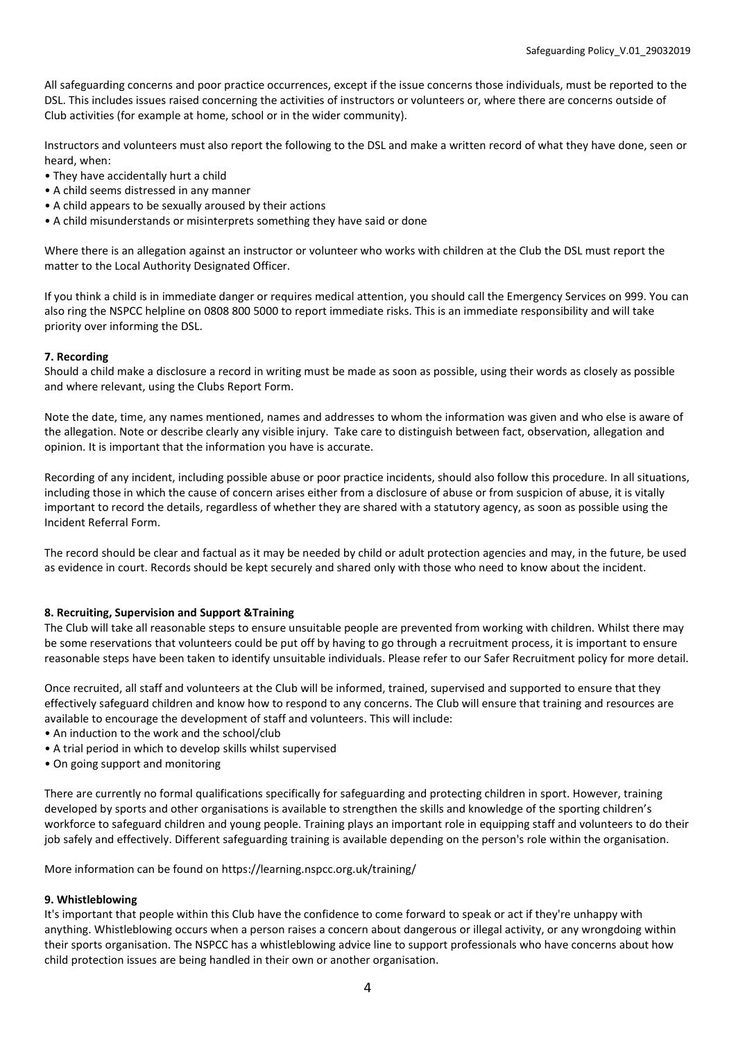All safeguarding concerns and poor practice occurrences, except if the issue concerns those individuals, must be reported to the DSL. This includes issues raised concerning the activities of instructors or volunteers or, where there are concerns outside of Club activities (for example at home, school or in the wider community).

Instructors and volunteers must also report the following to the DSL and make a written record of what they have done, seen or heard, when:

- They have accidentally hurt a child
- A child seems distressed in any manner
- A child appears to be sexually aroused by their actions
- A child misunderstands or misinterprets something they have said or done

Where there is an allegation against an instructor or volunteer who works with children at the Club the DSL must report the matter to the Local Authority Designated Officer.

If you think a child is in immediate danger or requires medical attention, you should call the Emergency Services on 999. You can also ring the NSPCC helpline on 0808 800 5000 to report immediate risks. This is an immediate responsibility and will take priority over informing the DSL.

# 7. Recording

Should a child make a disclosure a record in writing must be made as soon as possible, using their words as closely as possible and where relevant, using the Clubs Report Form.

Note the date, time, any names mentioned, names and addresses to whom the information was given and who else is aware of the allegation. Note or describe clearly any visible injury. Take care to distinguish between fact, observation, allegation and opinion. It is important that the information you have is accurate.

Recording of any incident, including possible abuse or poor practice incidents, should also follow this procedure. In all situations, including those in which the cause of concern arises either from a disclosure of abuse or from suspicion of abuse, it is vitally important to record the details, regardless of whether they are shared with a statutory agency, as soon as possible using the Incident Referral Form.

The record should be clear and factual as it may be needed by child or adult protection agencies and may, in the future, be used as evidence in court. Records should be kept securely and shared only with those who need to know about the incident.

# 8. Recruiting, Supervision and Support &Training

The Club will take all reasonable steps to ensure unsuitable people are prevented from working with children. Whilst there may be some reservations that volunteers could be put off by having to go through a recruitment process, it is important to ensure reasonable steps have been taken to identify unsuitable individuals. Please refer to our Safer Recruitment policy for more detail.

Once recruited, all staff and volunteers at the Club will be informed, trained, supervised and supported to ensure that they effectively safeguard children and know how to respond to any concerns. The Club will ensure that training and resources are available to encourage the development of staff and volunteers. This will include:

- An induction to the work and the school/club
- A trial period in which to develop skills whilst supervised
- On going support and monitoring

There are currently no formal qualifications specifically for safeguarding and protecting children in sport. However, training developed by sports and other organisations is available to strengthen the skills and knowledge of the sporting children's workforce to safeguard children and young people. Training plays an important role in equipping staff and volunteers to do their job safely and effectively. Different safeguarding training is available depending on the person's role within the organisation.

More information can be found on https://learning.nspcc.org.uk/training/

# 9. Whistleblowing

It's important that people within this Club have the confidence to come forward to speak or act if they're unhappy with anything. Whistleblowing occurs when a person raises a concern about dangerous or illegal activity, or any wrongdoing within their sports organisation. The NSPCC has a whistleblowing advice line to support professionals who have concerns about how child protection issues are being handled in their own or another organisation.